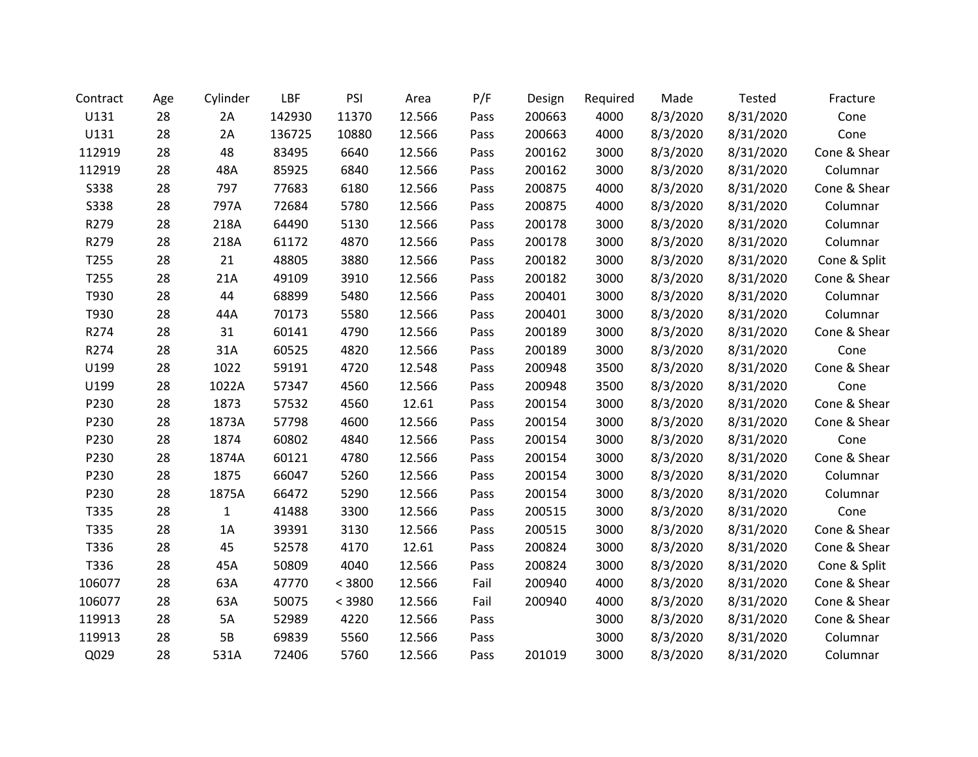| Contract    | Age | Cylinder     | LBF    | PSI    | Area   | P/F  | Design | Required | Made     | <b>Tested</b> | Fracture     |
|-------------|-----|--------------|--------|--------|--------|------|--------|----------|----------|---------------|--------------|
| U131        | 28  | 2A           | 142930 | 11370  | 12.566 | Pass | 200663 | 4000     | 8/3/2020 | 8/31/2020     | Cone         |
| U131        | 28  | 2A           | 136725 | 10880  | 12.566 | Pass | 200663 | 4000     | 8/3/2020 | 8/31/2020     | Cone         |
| 112919      | 28  | 48           | 83495  | 6640   | 12.566 | Pass | 200162 | 3000     | 8/3/2020 | 8/31/2020     | Cone & Shear |
| 112919      | 28  | 48A          | 85925  | 6840   | 12.566 | Pass | 200162 | 3000     | 8/3/2020 | 8/31/2020     | Columnar     |
| <b>S338</b> | 28  | 797          | 77683  | 6180   | 12.566 | Pass | 200875 | 4000     | 8/3/2020 | 8/31/2020     | Cone & Shear |
| <b>S338</b> | 28  | 797A         | 72684  | 5780   | 12.566 | Pass | 200875 | 4000     | 8/3/2020 | 8/31/2020     | Columnar     |
| R279        | 28  | 218A         | 64490  | 5130   | 12.566 | Pass | 200178 | 3000     | 8/3/2020 | 8/31/2020     | Columnar     |
| R279        | 28  | 218A         | 61172  | 4870   | 12.566 | Pass | 200178 | 3000     | 8/3/2020 | 8/31/2020     | Columnar     |
| T255        | 28  | 21           | 48805  | 3880   | 12.566 | Pass | 200182 | 3000     | 8/3/2020 | 8/31/2020     | Cone & Split |
| T255        | 28  | 21A          | 49109  | 3910   | 12.566 | Pass | 200182 | 3000     | 8/3/2020 | 8/31/2020     | Cone & Shear |
| T930        | 28  | 44           | 68899  | 5480   | 12.566 | Pass | 200401 | 3000     | 8/3/2020 | 8/31/2020     | Columnar     |
| T930        | 28  | 44A          | 70173  | 5580   | 12.566 | Pass | 200401 | 3000     | 8/3/2020 | 8/31/2020     | Columnar     |
| R274        | 28  | 31           | 60141  | 4790   | 12.566 | Pass | 200189 | 3000     | 8/3/2020 | 8/31/2020     | Cone & Shear |
| R274        | 28  | 31A          | 60525  | 4820   | 12.566 | Pass | 200189 | 3000     | 8/3/2020 | 8/31/2020     | Cone         |
| U199        | 28  | 1022         | 59191  | 4720   | 12.548 | Pass | 200948 | 3500     | 8/3/2020 | 8/31/2020     | Cone & Shear |
| U199        | 28  | 1022A        | 57347  | 4560   | 12.566 | Pass | 200948 | 3500     | 8/3/2020 | 8/31/2020     | Cone         |
| P230        | 28  | 1873         | 57532  | 4560   | 12.61  | Pass | 200154 | 3000     | 8/3/2020 | 8/31/2020     | Cone & Shear |
| P230        | 28  | 1873A        | 57798  | 4600   | 12.566 | Pass | 200154 | 3000     | 8/3/2020 | 8/31/2020     | Cone & Shear |
| P230        | 28  | 1874         | 60802  | 4840   | 12.566 | Pass | 200154 | 3000     | 8/3/2020 | 8/31/2020     | Cone         |
| P230        | 28  | 1874A        | 60121  | 4780   | 12.566 | Pass | 200154 | 3000     | 8/3/2020 | 8/31/2020     | Cone & Shear |
| P230        | 28  | 1875         | 66047  | 5260   | 12.566 | Pass | 200154 | 3000     | 8/3/2020 | 8/31/2020     | Columnar     |
| P230        | 28  | 1875A        | 66472  | 5290   | 12.566 | Pass | 200154 | 3000     | 8/3/2020 | 8/31/2020     | Columnar     |
| T335        | 28  | $\mathbf{1}$ | 41488  | 3300   | 12.566 | Pass | 200515 | 3000     | 8/3/2020 | 8/31/2020     | Cone         |
| T335        | 28  | 1A           | 39391  | 3130   | 12.566 | Pass | 200515 | 3000     | 8/3/2020 | 8/31/2020     | Cone & Shear |
| T336        | 28  | 45           | 52578  | 4170   | 12.61  | Pass | 200824 | 3000     | 8/3/2020 | 8/31/2020     | Cone & Shear |
| T336        | 28  | 45A          | 50809  | 4040   | 12.566 | Pass | 200824 | 3000     | 8/3/2020 | 8/31/2020     | Cone & Split |
| 106077      | 28  | 63A          | 47770  | < 3800 | 12.566 | Fail | 200940 | 4000     | 8/3/2020 | 8/31/2020     | Cone & Shear |
| 106077      | 28  | 63A          | 50075  | < 3980 | 12.566 | Fail | 200940 | 4000     | 8/3/2020 | 8/31/2020     | Cone & Shear |
| 119913      | 28  | 5A           | 52989  | 4220   | 12.566 | Pass |        | 3000     | 8/3/2020 | 8/31/2020     | Cone & Shear |
| 119913      | 28  | 5B           | 69839  | 5560   | 12.566 | Pass |        | 3000     | 8/3/2020 | 8/31/2020     | Columnar     |
| Q029        | 28  | 531A         | 72406  | 5760   | 12.566 | Pass | 201019 | 3000     | 8/3/2020 | 8/31/2020     | Columnar     |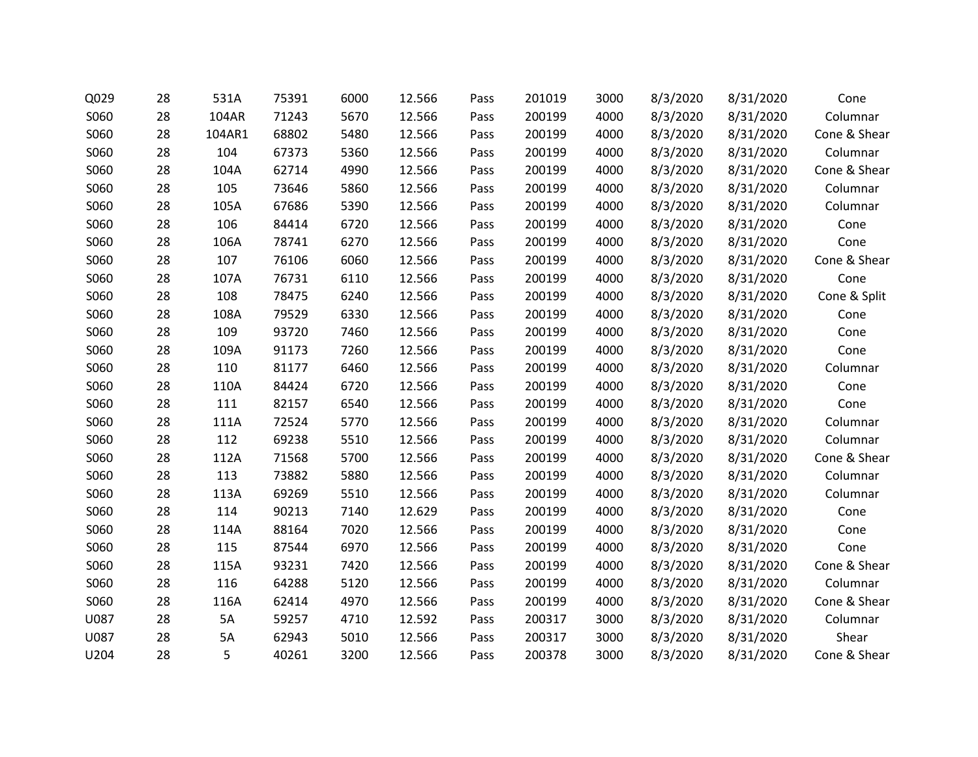| Q029 | 28 | 531A   | 75391 | 6000 | 12.566 | Pass | 201019 | 3000 | 8/3/2020 | 8/31/2020 | Cone         |
|------|----|--------|-------|------|--------|------|--------|------|----------|-----------|--------------|
| S060 | 28 | 104AR  | 71243 | 5670 | 12.566 | Pass | 200199 | 4000 | 8/3/2020 | 8/31/2020 | Columnar     |
| S060 | 28 | 104AR1 | 68802 | 5480 | 12.566 | Pass | 200199 | 4000 | 8/3/2020 | 8/31/2020 | Cone & Shear |
| S060 | 28 | 104    | 67373 | 5360 | 12.566 | Pass | 200199 | 4000 | 8/3/2020 | 8/31/2020 | Columnar     |
| S060 | 28 | 104A   | 62714 | 4990 | 12.566 | Pass | 200199 | 4000 | 8/3/2020 | 8/31/2020 | Cone & Shear |
| S060 | 28 | 105    | 73646 | 5860 | 12.566 | Pass | 200199 | 4000 | 8/3/2020 | 8/31/2020 | Columnar     |
| S060 | 28 | 105A   | 67686 | 5390 | 12.566 | Pass | 200199 | 4000 | 8/3/2020 | 8/31/2020 | Columnar     |
| S060 | 28 | 106    | 84414 | 6720 | 12.566 | Pass | 200199 | 4000 | 8/3/2020 | 8/31/2020 | Cone         |
| S060 | 28 | 106A   | 78741 | 6270 | 12.566 | Pass | 200199 | 4000 | 8/3/2020 | 8/31/2020 | Cone         |
| S060 | 28 | 107    | 76106 | 6060 | 12.566 | Pass | 200199 | 4000 | 8/3/2020 | 8/31/2020 | Cone & Shear |
| S060 | 28 | 107A   | 76731 | 6110 | 12.566 | Pass | 200199 | 4000 | 8/3/2020 | 8/31/2020 | Cone         |
| S060 | 28 | 108    | 78475 | 6240 | 12.566 | Pass | 200199 | 4000 | 8/3/2020 | 8/31/2020 | Cone & Split |
| S060 | 28 | 108A   | 79529 | 6330 | 12.566 | Pass | 200199 | 4000 | 8/3/2020 | 8/31/2020 | Cone         |
| S060 | 28 | 109    | 93720 | 7460 | 12.566 | Pass | 200199 | 4000 | 8/3/2020 | 8/31/2020 | Cone         |
| S060 | 28 | 109A   | 91173 | 7260 | 12.566 | Pass | 200199 | 4000 | 8/3/2020 | 8/31/2020 | Cone         |
| S060 | 28 | 110    | 81177 | 6460 | 12.566 | Pass | 200199 | 4000 | 8/3/2020 | 8/31/2020 | Columnar     |
| S060 | 28 | 110A   | 84424 | 6720 | 12.566 | Pass | 200199 | 4000 | 8/3/2020 | 8/31/2020 | Cone         |
| S060 | 28 | 111    | 82157 | 6540 | 12.566 | Pass | 200199 | 4000 | 8/3/2020 | 8/31/2020 | Cone         |
| S060 | 28 | 111A   | 72524 | 5770 | 12.566 | Pass | 200199 | 4000 | 8/3/2020 | 8/31/2020 | Columnar     |
| S060 | 28 | 112    | 69238 | 5510 | 12.566 | Pass | 200199 | 4000 | 8/3/2020 | 8/31/2020 | Columnar     |
| S060 | 28 | 112A   | 71568 | 5700 | 12.566 | Pass | 200199 | 4000 | 8/3/2020 | 8/31/2020 | Cone & Shear |
| S060 | 28 | 113    | 73882 | 5880 | 12.566 | Pass | 200199 | 4000 | 8/3/2020 | 8/31/2020 | Columnar     |
| S060 | 28 | 113A   | 69269 | 5510 | 12.566 | Pass | 200199 | 4000 | 8/3/2020 | 8/31/2020 | Columnar     |
| S060 | 28 | 114    | 90213 | 7140 | 12.629 | Pass | 200199 | 4000 | 8/3/2020 | 8/31/2020 | Cone         |
| S060 | 28 | 114A   | 88164 | 7020 | 12.566 | Pass | 200199 | 4000 | 8/3/2020 | 8/31/2020 | Cone         |
| S060 | 28 | 115    | 87544 | 6970 | 12.566 | Pass | 200199 | 4000 | 8/3/2020 | 8/31/2020 | Cone         |
| S060 | 28 | 115A   | 93231 | 7420 | 12.566 | Pass | 200199 | 4000 | 8/3/2020 | 8/31/2020 | Cone & Shear |
| S060 | 28 | 116    | 64288 | 5120 | 12.566 | Pass | 200199 | 4000 | 8/3/2020 | 8/31/2020 | Columnar     |
| S060 | 28 | 116A   | 62414 | 4970 | 12.566 | Pass | 200199 | 4000 | 8/3/2020 | 8/31/2020 | Cone & Shear |
| U087 | 28 | 5A     | 59257 | 4710 | 12.592 | Pass | 200317 | 3000 | 8/3/2020 | 8/31/2020 | Columnar     |
| U087 | 28 | 5A     | 62943 | 5010 | 12.566 | Pass | 200317 | 3000 | 8/3/2020 | 8/31/2020 | Shear        |
| U204 | 28 | 5      | 40261 | 3200 | 12.566 | Pass | 200378 | 3000 | 8/3/2020 | 8/31/2020 | Cone & Shear |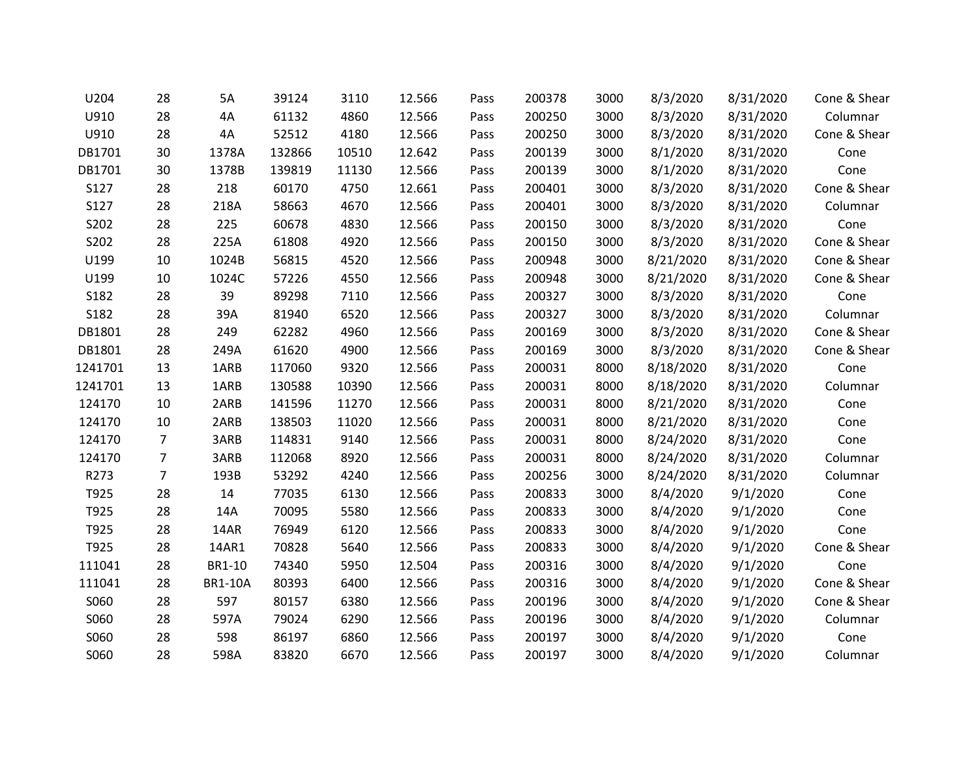| U204    | 28             | 5A             | 39124  | 3110  | 12.566 | Pass | 200378 | 3000 | 8/3/2020  | 8/31/2020 | Cone & Shear |
|---------|----------------|----------------|--------|-------|--------|------|--------|------|-----------|-----------|--------------|
| U910    | 28             | 4A             | 61132  | 4860  | 12.566 | Pass | 200250 | 3000 | 8/3/2020  | 8/31/2020 | Columnar     |
| U910    | 28             | 4A             | 52512  | 4180  | 12.566 | Pass | 200250 | 3000 | 8/3/2020  | 8/31/2020 | Cone & Shear |
| DB1701  | 30             | 1378A          | 132866 | 10510 | 12.642 | Pass | 200139 | 3000 | 8/1/2020  | 8/31/2020 | Cone         |
| DB1701  | 30             | 1378B          | 139819 | 11130 | 12.566 | Pass | 200139 | 3000 | 8/1/2020  | 8/31/2020 | Cone         |
| S127    | 28             | 218            | 60170  | 4750  | 12.661 | Pass | 200401 | 3000 | 8/3/2020  | 8/31/2020 | Cone & Shear |
| S127    | 28             | 218A           | 58663  | 4670  | 12.566 | Pass | 200401 | 3000 | 8/3/2020  | 8/31/2020 | Columnar     |
| S202    | 28             | 225            | 60678  | 4830  | 12.566 | Pass | 200150 | 3000 | 8/3/2020  | 8/31/2020 | Cone         |
| S202    | 28             | 225A           | 61808  | 4920  | 12.566 | Pass | 200150 | 3000 | 8/3/2020  | 8/31/2020 | Cone & Shear |
| U199    | 10             | 1024B          | 56815  | 4520  | 12.566 | Pass | 200948 | 3000 | 8/21/2020 | 8/31/2020 | Cone & Shear |
| U199    | 10             | 1024C          | 57226  | 4550  | 12.566 | Pass | 200948 | 3000 | 8/21/2020 | 8/31/2020 | Cone & Shear |
| S182    | 28             | 39             | 89298  | 7110  | 12.566 | Pass | 200327 | 3000 | 8/3/2020  | 8/31/2020 | Cone         |
| S182    | 28             | 39A            | 81940  | 6520  | 12.566 | Pass | 200327 | 3000 | 8/3/2020  | 8/31/2020 | Columnar     |
| DB1801  | 28             | 249            | 62282  | 4960  | 12.566 | Pass | 200169 | 3000 | 8/3/2020  | 8/31/2020 | Cone & Shear |
| DB1801  | 28             | 249A           | 61620  | 4900  | 12.566 | Pass | 200169 | 3000 | 8/3/2020  | 8/31/2020 | Cone & Shear |
| 1241701 | 13             | 1ARB           | 117060 | 9320  | 12.566 | Pass | 200031 | 8000 | 8/18/2020 | 8/31/2020 | Cone         |
| 1241701 | 13             | 1ARB           | 130588 | 10390 | 12.566 | Pass | 200031 | 8000 | 8/18/2020 | 8/31/2020 | Columnar     |
| 124170  | 10             | 2ARB           | 141596 | 11270 | 12.566 | Pass | 200031 | 8000 | 8/21/2020 | 8/31/2020 | Cone         |
| 124170  | 10             | 2ARB           | 138503 | 11020 | 12.566 | Pass | 200031 | 8000 | 8/21/2020 | 8/31/2020 | Cone         |
| 124170  | $\overline{7}$ | 3ARB           | 114831 | 9140  | 12.566 | Pass | 200031 | 8000 | 8/24/2020 | 8/31/2020 | Cone         |
| 124170  | 7              | 3ARB           | 112068 | 8920  | 12.566 | Pass | 200031 | 8000 | 8/24/2020 | 8/31/2020 | Columnar     |
| R273    | $\overline{7}$ | 193B           | 53292  | 4240  | 12.566 | Pass | 200256 | 3000 | 8/24/2020 | 8/31/2020 | Columnar     |
| T925    | 28             | 14             | 77035  | 6130  | 12.566 | Pass | 200833 | 3000 | 8/4/2020  | 9/1/2020  | Cone         |
| T925    | 28             | 14A            | 70095  | 5580  | 12.566 | Pass | 200833 | 3000 | 8/4/2020  | 9/1/2020  | Cone         |
| T925    | 28             | 14AR           | 76949  | 6120  | 12.566 | Pass | 200833 | 3000 | 8/4/2020  | 9/1/2020  | Cone         |
| T925    | 28             | 14AR1          | 70828  | 5640  | 12.566 | Pass | 200833 | 3000 | 8/4/2020  | 9/1/2020  | Cone & Shear |
| 111041  | 28             | BR1-10         | 74340  | 5950  | 12.504 | Pass | 200316 | 3000 | 8/4/2020  | 9/1/2020  | Cone         |
| 111041  | 28             | <b>BR1-10A</b> | 80393  | 6400  | 12.566 | Pass | 200316 | 3000 | 8/4/2020  | 9/1/2020  | Cone & Shear |
| S060    | 28             | 597            | 80157  | 6380  | 12.566 | Pass | 200196 | 3000 | 8/4/2020  | 9/1/2020  | Cone & Shear |
| S060    | 28             | 597A           | 79024  | 6290  | 12.566 | Pass | 200196 | 3000 | 8/4/2020  | 9/1/2020  | Columnar     |
| S060    | 28             | 598            | 86197  | 6860  | 12.566 | Pass | 200197 | 3000 | 8/4/2020  | 9/1/2020  | Cone         |
| S060    | 28             | 598A           | 83820  | 6670  | 12.566 | Pass | 200197 | 3000 | 8/4/2020  | 9/1/2020  | Columnar     |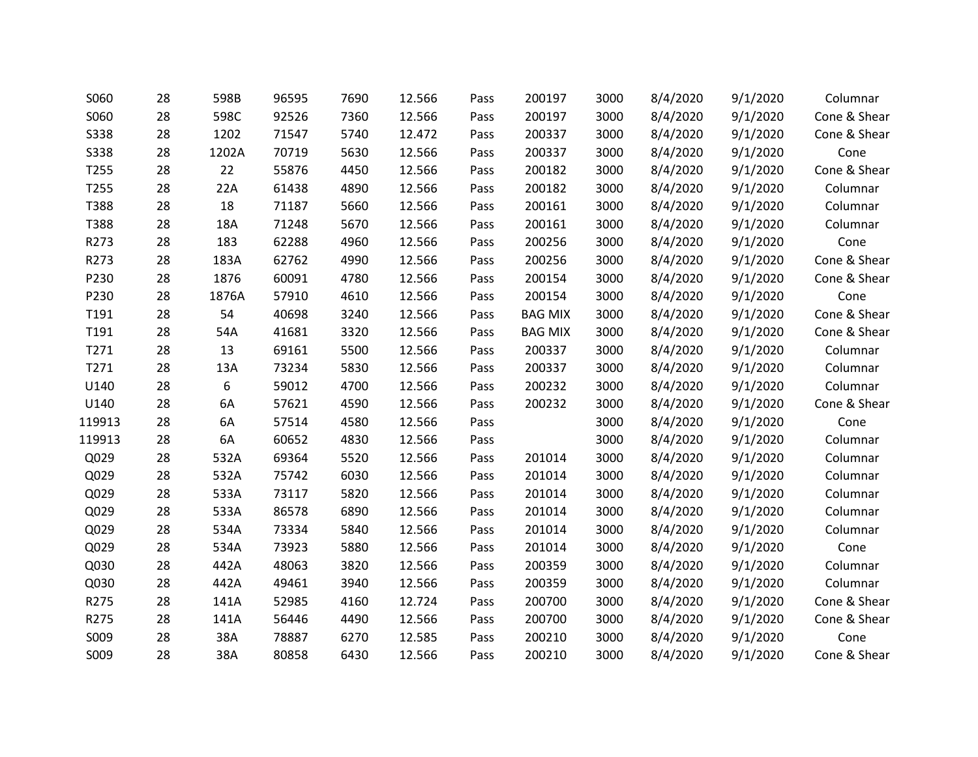| S060        | 28 | 598B  | 96595 | 7690 | 12.566 | Pass | 200197         | 3000 | 8/4/2020 | 9/1/2020 | Columnar     |
|-------------|----|-------|-------|------|--------|------|----------------|------|----------|----------|--------------|
| S060        | 28 | 598C  | 92526 | 7360 | 12.566 | Pass | 200197         | 3000 | 8/4/2020 | 9/1/2020 | Cone & Shear |
| <b>S338</b> | 28 | 1202  | 71547 | 5740 | 12.472 | Pass | 200337         | 3000 | 8/4/2020 | 9/1/2020 | Cone & Shear |
| <b>S338</b> | 28 | 1202A | 70719 | 5630 | 12.566 | Pass | 200337         | 3000 | 8/4/2020 | 9/1/2020 | Cone         |
| T255        | 28 | 22    | 55876 | 4450 | 12.566 | Pass | 200182         | 3000 | 8/4/2020 | 9/1/2020 | Cone & Shear |
| T255        | 28 | 22A   | 61438 | 4890 | 12.566 | Pass | 200182         | 3000 | 8/4/2020 | 9/1/2020 | Columnar     |
| T388        | 28 | 18    | 71187 | 5660 | 12.566 | Pass | 200161         | 3000 | 8/4/2020 | 9/1/2020 | Columnar     |
| T388        | 28 | 18A   | 71248 | 5670 | 12.566 | Pass | 200161         | 3000 | 8/4/2020 | 9/1/2020 | Columnar     |
| R273        | 28 | 183   | 62288 | 4960 | 12.566 | Pass | 200256         | 3000 | 8/4/2020 | 9/1/2020 | Cone         |
| R273        | 28 | 183A  | 62762 | 4990 | 12.566 | Pass | 200256         | 3000 | 8/4/2020 | 9/1/2020 | Cone & Shear |
| P230        | 28 | 1876  | 60091 | 4780 | 12.566 | Pass | 200154         | 3000 | 8/4/2020 | 9/1/2020 | Cone & Shear |
| P230        | 28 | 1876A | 57910 | 4610 | 12.566 | Pass | 200154         | 3000 | 8/4/2020 | 9/1/2020 | Cone         |
| T191        | 28 | 54    | 40698 | 3240 | 12.566 | Pass | <b>BAG MIX</b> | 3000 | 8/4/2020 | 9/1/2020 | Cone & Shear |
| T191        | 28 | 54A   | 41681 | 3320 | 12.566 | Pass | <b>BAG MIX</b> | 3000 | 8/4/2020 | 9/1/2020 | Cone & Shear |
| T271        | 28 | 13    | 69161 | 5500 | 12.566 | Pass | 200337         | 3000 | 8/4/2020 | 9/1/2020 | Columnar     |
| T271        | 28 | 13A   | 73234 | 5830 | 12.566 | Pass | 200337         | 3000 | 8/4/2020 | 9/1/2020 | Columnar     |
| U140        | 28 | 6     | 59012 | 4700 | 12.566 | Pass | 200232         | 3000 | 8/4/2020 | 9/1/2020 | Columnar     |
| U140        | 28 | 6A    | 57621 | 4590 | 12.566 | Pass | 200232         | 3000 | 8/4/2020 | 9/1/2020 | Cone & Shear |
| 119913      | 28 | 6A    | 57514 | 4580 | 12.566 | Pass |                | 3000 | 8/4/2020 | 9/1/2020 | Cone         |
| 119913      | 28 | 6A    | 60652 | 4830 | 12.566 | Pass |                | 3000 | 8/4/2020 | 9/1/2020 | Columnar     |
| Q029        | 28 | 532A  | 69364 | 5520 | 12.566 | Pass | 201014         | 3000 | 8/4/2020 | 9/1/2020 | Columnar     |
| Q029        | 28 | 532A  | 75742 | 6030 | 12.566 | Pass | 201014         | 3000 | 8/4/2020 | 9/1/2020 | Columnar     |
| Q029        | 28 | 533A  | 73117 | 5820 | 12.566 | Pass | 201014         | 3000 | 8/4/2020 | 9/1/2020 | Columnar     |
| Q029        | 28 | 533A  | 86578 | 6890 | 12.566 | Pass | 201014         | 3000 | 8/4/2020 | 9/1/2020 | Columnar     |
| Q029        | 28 | 534A  | 73334 | 5840 | 12.566 | Pass | 201014         | 3000 | 8/4/2020 | 9/1/2020 | Columnar     |
| Q029        | 28 | 534A  | 73923 | 5880 | 12.566 | Pass | 201014         | 3000 | 8/4/2020 | 9/1/2020 | Cone         |
| Q030        | 28 | 442A  | 48063 | 3820 | 12.566 | Pass | 200359         | 3000 | 8/4/2020 | 9/1/2020 | Columnar     |
| Q030        | 28 | 442A  | 49461 | 3940 | 12.566 | Pass | 200359         | 3000 | 8/4/2020 | 9/1/2020 | Columnar     |
| R275        | 28 | 141A  | 52985 | 4160 | 12.724 | Pass | 200700         | 3000 | 8/4/2020 | 9/1/2020 | Cone & Shear |
| R275        | 28 | 141A  | 56446 | 4490 | 12.566 | Pass | 200700         | 3000 | 8/4/2020 | 9/1/2020 | Cone & Shear |
| S009        | 28 | 38A   | 78887 | 6270 | 12.585 | Pass | 200210         | 3000 | 8/4/2020 | 9/1/2020 | Cone         |
| S009        | 28 | 38A   | 80858 | 6430 | 12.566 | Pass | 200210         | 3000 | 8/4/2020 | 9/1/2020 | Cone & Shear |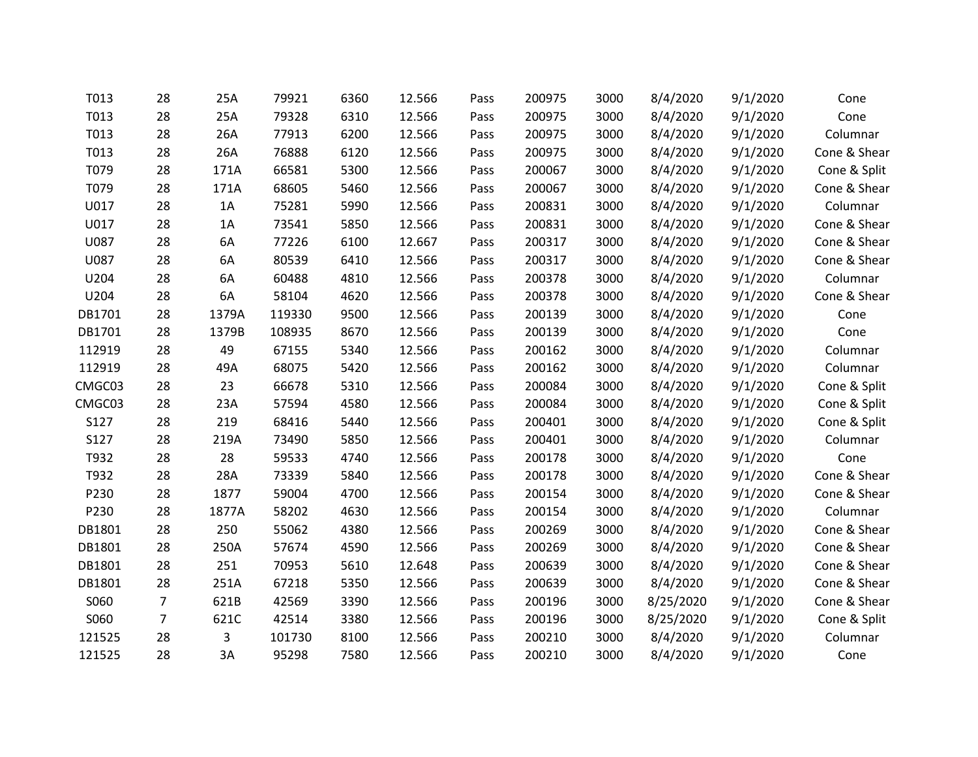| T013   | 28             | 25A   | 79921  | 6360 | 12.566 | Pass | 200975 | 3000 | 8/4/2020  | 9/1/2020 | Cone         |
|--------|----------------|-------|--------|------|--------|------|--------|------|-----------|----------|--------------|
| T013   | 28             | 25A   | 79328  | 6310 | 12.566 | Pass | 200975 | 3000 | 8/4/2020  | 9/1/2020 | Cone         |
| T013   | 28             | 26A   | 77913  | 6200 | 12.566 | Pass | 200975 | 3000 | 8/4/2020  | 9/1/2020 | Columnar     |
| T013   | 28             | 26A   | 76888  | 6120 | 12.566 | Pass | 200975 | 3000 | 8/4/2020  | 9/1/2020 | Cone & Shear |
| T079   | 28             | 171A  | 66581  | 5300 | 12.566 | Pass | 200067 | 3000 | 8/4/2020  | 9/1/2020 | Cone & Split |
| T079   | 28             | 171A  | 68605  | 5460 | 12.566 | Pass | 200067 | 3000 | 8/4/2020  | 9/1/2020 | Cone & Shear |
| U017   | 28             | 1A    | 75281  | 5990 | 12.566 | Pass | 200831 | 3000 | 8/4/2020  | 9/1/2020 | Columnar     |
| U017   | 28             | 1A    | 73541  | 5850 | 12.566 | Pass | 200831 | 3000 | 8/4/2020  | 9/1/2020 | Cone & Shear |
| U087   | 28             | 6A    | 77226  | 6100 | 12.667 | Pass | 200317 | 3000 | 8/4/2020  | 9/1/2020 | Cone & Shear |
| U087   | 28             | 6A    | 80539  | 6410 | 12.566 | Pass | 200317 | 3000 | 8/4/2020  | 9/1/2020 | Cone & Shear |
| U204   | 28             | 6A    | 60488  | 4810 | 12.566 | Pass | 200378 | 3000 | 8/4/2020  | 9/1/2020 | Columnar     |
| U204   | 28             | 6A    | 58104  | 4620 | 12.566 | Pass | 200378 | 3000 | 8/4/2020  | 9/1/2020 | Cone & Shear |
| DB1701 | 28             | 1379A | 119330 | 9500 | 12.566 | Pass | 200139 | 3000 | 8/4/2020  | 9/1/2020 | Cone         |
| DB1701 | 28             | 1379B | 108935 | 8670 | 12.566 | Pass | 200139 | 3000 | 8/4/2020  | 9/1/2020 | Cone         |
| 112919 | 28             | 49    | 67155  | 5340 | 12.566 | Pass | 200162 | 3000 | 8/4/2020  | 9/1/2020 | Columnar     |
| 112919 | 28             | 49A   | 68075  | 5420 | 12.566 | Pass | 200162 | 3000 | 8/4/2020  | 9/1/2020 | Columnar     |
| CMGC03 | 28             | 23    | 66678  | 5310 | 12.566 | Pass | 200084 | 3000 | 8/4/2020  | 9/1/2020 | Cone & Split |
| CMGC03 | 28             | 23A   | 57594  | 4580 | 12.566 | Pass | 200084 | 3000 | 8/4/2020  | 9/1/2020 | Cone & Split |
| S127   | 28             | 219   | 68416  | 5440 | 12.566 | Pass | 200401 | 3000 | 8/4/2020  | 9/1/2020 | Cone & Split |
| S127   | 28             | 219A  | 73490  | 5850 | 12.566 | Pass | 200401 | 3000 | 8/4/2020  | 9/1/2020 | Columnar     |
| T932   | 28             | 28    | 59533  | 4740 | 12.566 | Pass | 200178 | 3000 | 8/4/2020  | 9/1/2020 | Cone         |
| T932   | 28             | 28A   | 73339  | 5840 | 12.566 | Pass | 200178 | 3000 | 8/4/2020  | 9/1/2020 | Cone & Shear |
| P230   | 28             | 1877  | 59004  | 4700 | 12.566 | Pass | 200154 | 3000 | 8/4/2020  | 9/1/2020 | Cone & Shear |
| P230   | 28             | 1877A | 58202  | 4630 | 12.566 | Pass | 200154 | 3000 | 8/4/2020  | 9/1/2020 | Columnar     |
| DB1801 | 28             | 250   | 55062  | 4380 | 12.566 | Pass | 200269 | 3000 | 8/4/2020  | 9/1/2020 | Cone & Shear |
| DB1801 | 28             | 250A  | 57674  | 4590 | 12.566 | Pass | 200269 | 3000 | 8/4/2020  | 9/1/2020 | Cone & Shear |
| DB1801 | 28             | 251   | 70953  | 5610 | 12.648 | Pass | 200639 | 3000 | 8/4/2020  | 9/1/2020 | Cone & Shear |
| DB1801 | 28             | 251A  | 67218  | 5350 | 12.566 | Pass | 200639 | 3000 | 8/4/2020  | 9/1/2020 | Cone & Shear |
| S060   | $\overline{7}$ | 621B  | 42569  | 3390 | 12.566 | Pass | 200196 | 3000 | 8/25/2020 | 9/1/2020 | Cone & Shear |
| S060   | $\overline{7}$ | 621C  | 42514  | 3380 | 12.566 | Pass | 200196 | 3000 | 8/25/2020 | 9/1/2020 | Cone & Split |
| 121525 | 28             | 3     | 101730 | 8100 | 12.566 | Pass | 200210 | 3000 | 8/4/2020  | 9/1/2020 | Columnar     |
| 121525 | 28             | 3A    | 95298  | 7580 | 12.566 | Pass | 200210 | 3000 | 8/4/2020  | 9/1/2020 | Cone         |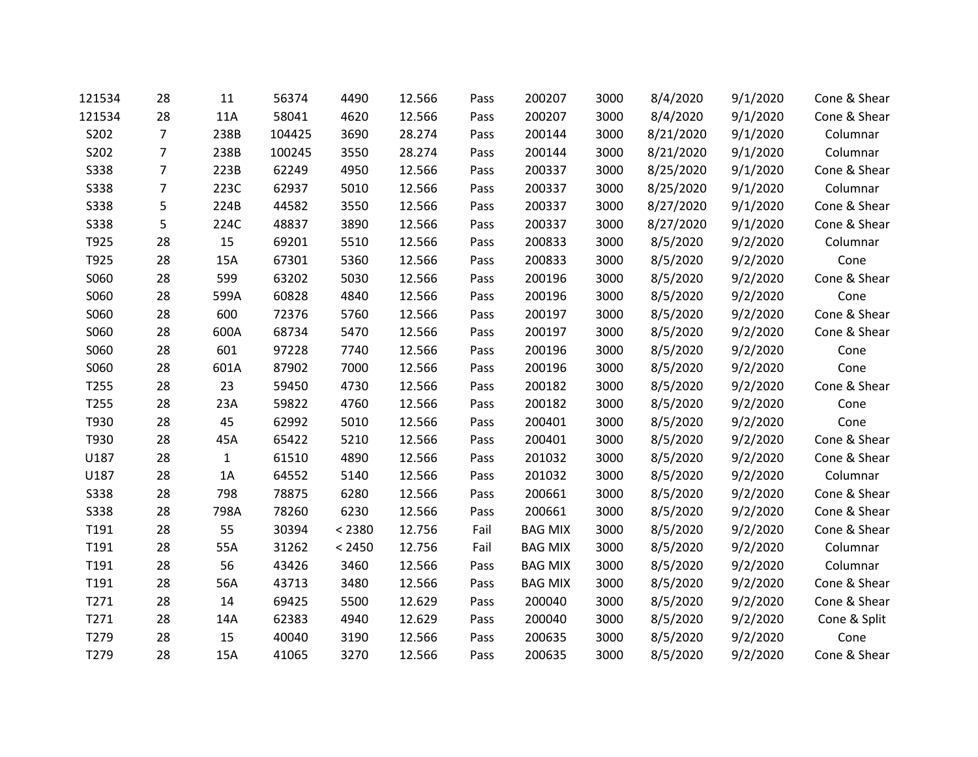| 121534      | 28             | 11           | 56374  | 4490   | 12.566 | Pass | 200207         | 3000 | 8/4/2020  | 9/1/2020 | Cone & Shear |
|-------------|----------------|--------------|--------|--------|--------|------|----------------|------|-----------|----------|--------------|
| 121534      | 28             | 11A          | 58041  | 4620   | 12.566 | Pass | 200207         | 3000 | 8/4/2020  | 9/1/2020 | Cone & Shear |
| S202        | $\overline{7}$ | 238B         | 104425 | 3690   | 28.274 | Pass | 200144         | 3000 | 8/21/2020 | 9/1/2020 | Columnar     |
| S202        | $\overline{7}$ | 238B         | 100245 | 3550   | 28.274 | Pass | 200144         | 3000 | 8/21/2020 | 9/1/2020 | Columnar     |
| S338        | $\overline{7}$ | 223B         | 62249  | 4950   | 12.566 | Pass | 200337         | 3000 | 8/25/2020 | 9/1/2020 | Cone & Shear |
| <b>S338</b> | $\overline{7}$ | 223C         | 62937  | 5010   | 12.566 | Pass | 200337         | 3000 | 8/25/2020 | 9/1/2020 | Columnar     |
| <b>S338</b> | 5              | 224B         | 44582  | 3550   | 12.566 | Pass | 200337         | 3000 | 8/27/2020 | 9/1/2020 | Cone & Shear |
| <b>S338</b> | 5              | 224C         | 48837  | 3890   | 12.566 | Pass | 200337         | 3000 | 8/27/2020 | 9/1/2020 | Cone & Shear |
| T925        | 28             | 15           | 69201  | 5510   | 12.566 | Pass | 200833         | 3000 | 8/5/2020  | 9/2/2020 | Columnar     |
| T925        | 28             | 15A          | 67301  | 5360   | 12.566 | Pass | 200833         | 3000 | 8/5/2020  | 9/2/2020 | Cone         |
| S060        | 28             | 599          | 63202  | 5030   | 12.566 | Pass | 200196         | 3000 | 8/5/2020  | 9/2/2020 | Cone & Shear |
| S060        | 28             | 599A         | 60828  | 4840   | 12.566 | Pass | 200196         | 3000 | 8/5/2020  | 9/2/2020 | Cone         |
| S060        | 28             | 600          | 72376  | 5760   | 12.566 | Pass | 200197         | 3000 | 8/5/2020  | 9/2/2020 | Cone & Shear |
| S060        | 28             | 600A         | 68734  | 5470   | 12.566 | Pass | 200197         | 3000 | 8/5/2020  | 9/2/2020 | Cone & Shear |
| S060        | 28             | 601          | 97228  | 7740   | 12.566 | Pass | 200196         | 3000 | 8/5/2020  | 9/2/2020 | Cone         |
| S060        | 28             | 601A         | 87902  | 7000   | 12.566 | Pass | 200196         | 3000 | 8/5/2020  | 9/2/2020 | Cone         |
| T255        | 28             | 23           | 59450  | 4730   | 12.566 | Pass | 200182         | 3000 | 8/5/2020  | 9/2/2020 | Cone & Shear |
| T255        | 28             | 23A          | 59822  | 4760   | 12.566 | Pass | 200182         | 3000 | 8/5/2020  | 9/2/2020 | Cone         |
| T930        | 28             | 45           | 62992  | 5010   | 12.566 | Pass | 200401         | 3000 | 8/5/2020  | 9/2/2020 | Cone         |
| T930        | 28             | 45A          | 65422  | 5210   | 12.566 | Pass | 200401         | 3000 | 8/5/2020  | 9/2/2020 | Cone & Shear |
| U187        | 28             | $\mathbf{1}$ | 61510  | 4890   | 12.566 | Pass | 201032         | 3000 | 8/5/2020  | 9/2/2020 | Cone & Shear |
| U187        | 28             | 1A           | 64552  | 5140   | 12.566 | Pass | 201032         | 3000 | 8/5/2020  | 9/2/2020 | Columnar     |
| <b>S338</b> | 28             | 798          | 78875  | 6280   | 12.566 | Pass | 200661         | 3000 | 8/5/2020  | 9/2/2020 | Cone & Shear |
| <b>S338</b> | 28             | 798A         | 78260  | 6230   | 12.566 | Pass | 200661         | 3000 | 8/5/2020  | 9/2/2020 | Cone & Shear |
| T191        | 28             | 55           | 30394  | < 2380 | 12.756 | Fail | <b>BAG MIX</b> | 3000 | 8/5/2020  | 9/2/2020 | Cone & Shear |
| T191        | 28             | 55A          | 31262  | < 2450 | 12.756 | Fail | <b>BAG MIX</b> | 3000 | 8/5/2020  | 9/2/2020 | Columnar     |
| T191        | 28             | 56           | 43426  | 3460   | 12.566 | Pass | <b>BAG MIX</b> | 3000 | 8/5/2020  | 9/2/2020 | Columnar     |
| T191        | 28             | 56A          | 43713  | 3480   | 12.566 | Pass | <b>BAG MIX</b> | 3000 | 8/5/2020  | 9/2/2020 | Cone & Shear |
| T271        | 28             | 14           | 69425  | 5500   | 12.629 | Pass | 200040         | 3000 | 8/5/2020  | 9/2/2020 | Cone & Shear |
| T271        | 28             | 14A          | 62383  | 4940   | 12.629 | Pass | 200040         | 3000 | 8/5/2020  | 9/2/2020 | Cone & Split |
| T279        | 28             | 15           | 40040  | 3190   | 12.566 | Pass | 200635         | 3000 | 8/5/2020  | 9/2/2020 | Cone         |
| T279        | 28             | 15A          | 41065  | 3270   | 12.566 | Pass | 200635         | 3000 | 8/5/2020  | 9/2/2020 | Cone & Shear |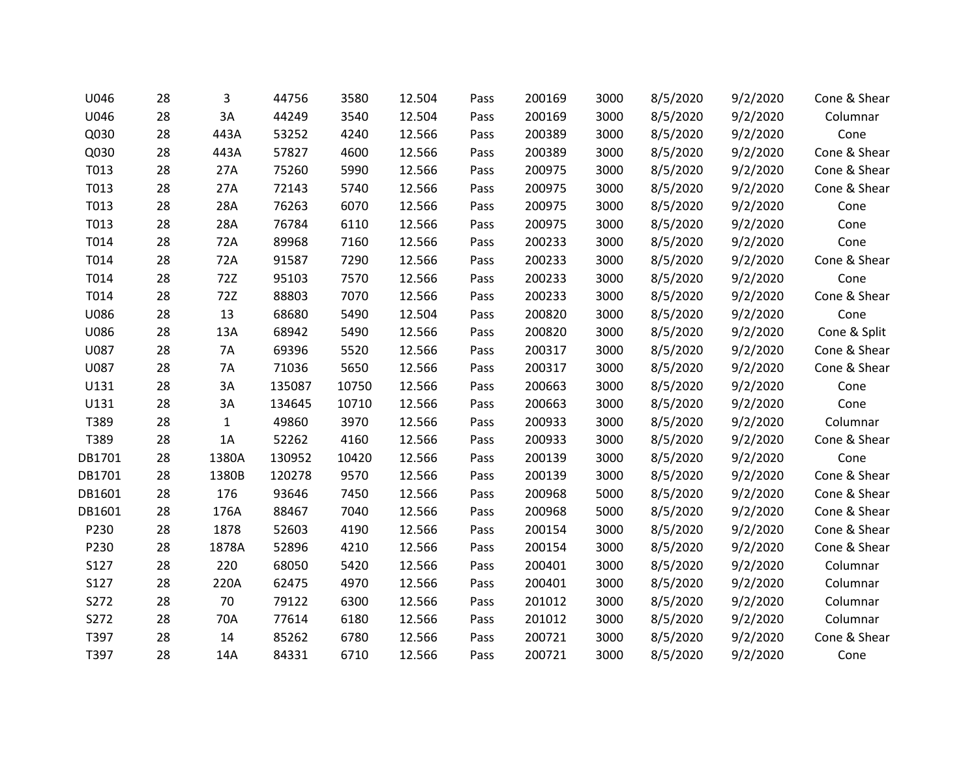| U046   | 28 | 3            | 44756  | 3580  | 12.504 | Pass | 200169 | 3000 | 8/5/2020 | 9/2/2020 | Cone & Shear |
|--------|----|--------------|--------|-------|--------|------|--------|------|----------|----------|--------------|
| U046   | 28 | 3A           | 44249  | 3540  | 12.504 | Pass | 200169 | 3000 | 8/5/2020 | 9/2/2020 | Columnar     |
| Q030   | 28 | 443A         | 53252  | 4240  | 12.566 | Pass | 200389 | 3000 | 8/5/2020 | 9/2/2020 | Cone         |
| Q030   | 28 | 443A         | 57827  | 4600  | 12.566 | Pass | 200389 | 3000 | 8/5/2020 | 9/2/2020 | Cone & Shear |
| T013   | 28 | 27A          | 75260  | 5990  | 12.566 | Pass | 200975 | 3000 | 8/5/2020 | 9/2/2020 | Cone & Shear |
| T013   | 28 | 27A          | 72143  | 5740  | 12.566 | Pass | 200975 | 3000 | 8/5/2020 | 9/2/2020 | Cone & Shear |
| T013   | 28 | 28A          | 76263  | 6070  | 12.566 | Pass | 200975 | 3000 | 8/5/2020 | 9/2/2020 | Cone         |
| T013   | 28 | 28A          | 76784  | 6110  | 12.566 | Pass | 200975 | 3000 | 8/5/2020 | 9/2/2020 | Cone         |
| T014   | 28 | 72A          | 89968  | 7160  | 12.566 | Pass | 200233 | 3000 | 8/5/2020 | 9/2/2020 | Cone         |
| T014   | 28 | 72A          | 91587  | 7290  | 12.566 | Pass | 200233 | 3000 | 8/5/2020 | 9/2/2020 | Cone & Shear |
| T014   | 28 | 72Z          | 95103  | 7570  | 12.566 | Pass | 200233 | 3000 | 8/5/2020 | 9/2/2020 | Cone         |
| T014   | 28 | 72Z          | 88803  | 7070  | 12.566 | Pass | 200233 | 3000 | 8/5/2020 | 9/2/2020 | Cone & Shear |
| U086   | 28 | 13           | 68680  | 5490  | 12.504 | Pass | 200820 | 3000 | 8/5/2020 | 9/2/2020 | Cone         |
| U086   | 28 | 13A          | 68942  | 5490  | 12.566 | Pass | 200820 | 3000 | 8/5/2020 | 9/2/2020 | Cone & Split |
| U087   | 28 | <b>7A</b>    | 69396  | 5520  | 12.566 | Pass | 200317 | 3000 | 8/5/2020 | 9/2/2020 | Cone & Shear |
| U087   | 28 | 7A           | 71036  | 5650  | 12.566 | Pass | 200317 | 3000 | 8/5/2020 | 9/2/2020 | Cone & Shear |
| U131   | 28 | 3A           | 135087 | 10750 | 12.566 | Pass | 200663 | 3000 | 8/5/2020 | 9/2/2020 | Cone         |
| U131   | 28 | 3A           | 134645 | 10710 | 12.566 | Pass | 200663 | 3000 | 8/5/2020 | 9/2/2020 | Cone         |
| T389   | 28 | $\mathbf{1}$ | 49860  | 3970  | 12.566 | Pass | 200933 | 3000 | 8/5/2020 | 9/2/2020 | Columnar     |
| T389   | 28 | 1A           | 52262  | 4160  | 12.566 | Pass | 200933 | 3000 | 8/5/2020 | 9/2/2020 | Cone & Shear |
| DB1701 | 28 | 1380A        | 130952 | 10420 | 12.566 | Pass | 200139 | 3000 | 8/5/2020 | 9/2/2020 | Cone         |
| DB1701 | 28 | 1380B        | 120278 | 9570  | 12.566 | Pass | 200139 | 3000 | 8/5/2020 | 9/2/2020 | Cone & Shear |
| DB1601 | 28 | 176          | 93646  | 7450  | 12.566 | Pass | 200968 | 5000 | 8/5/2020 | 9/2/2020 | Cone & Shear |
| DB1601 | 28 | 176A         | 88467  | 7040  | 12.566 | Pass | 200968 | 5000 | 8/5/2020 | 9/2/2020 | Cone & Shear |
| P230   | 28 | 1878         | 52603  | 4190  | 12.566 | Pass | 200154 | 3000 | 8/5/2020 | 9/2/2020 | Cone & Shear |
| P230   | 28 | 1878A        | 52896  | 4210  | 12.566 | Pass | 200154 | 3000 | 8/5/2020 | 9/2/2020 | Cone & Shear |
| S127   | 28 | 220          | 68050  | 5420  | 12.566 | Pass | 200401 | 3000 | 8/5/2020 | 9/2/2020 | Columnar     |
| S127   | 28 | 220A         | 62475  | 4970  | 12.566 | Pass | 200401 | 3000 | 8/5/2020 | 9/2/2020 | Columnar     |
| S272   | 28 | 70           | 79122  | 6300  | 12.566 | Pass | 201012 | 3000 | 8/5/2020 | 9/2/2020 | Columnar     |
| S272   | 28 | 70A          | 77614  | 6180  | 12.566 | Pass | 201012 | 3000 | 8/5/2020 | 9/2/2020 | Columnar     |
| T397   | 28 | 14           | 85262  | 6780  | 12.566 | Pass | 200721 | 3000 | 8/5/2020 | 9/2/2020 | Cone & Shear |
| T397   | 28 | 14A          | 84331  | 6710  | 12.566 | Pass | 200721 | 3000 | 8/5/2020 | 9/2/2020 | Cone         |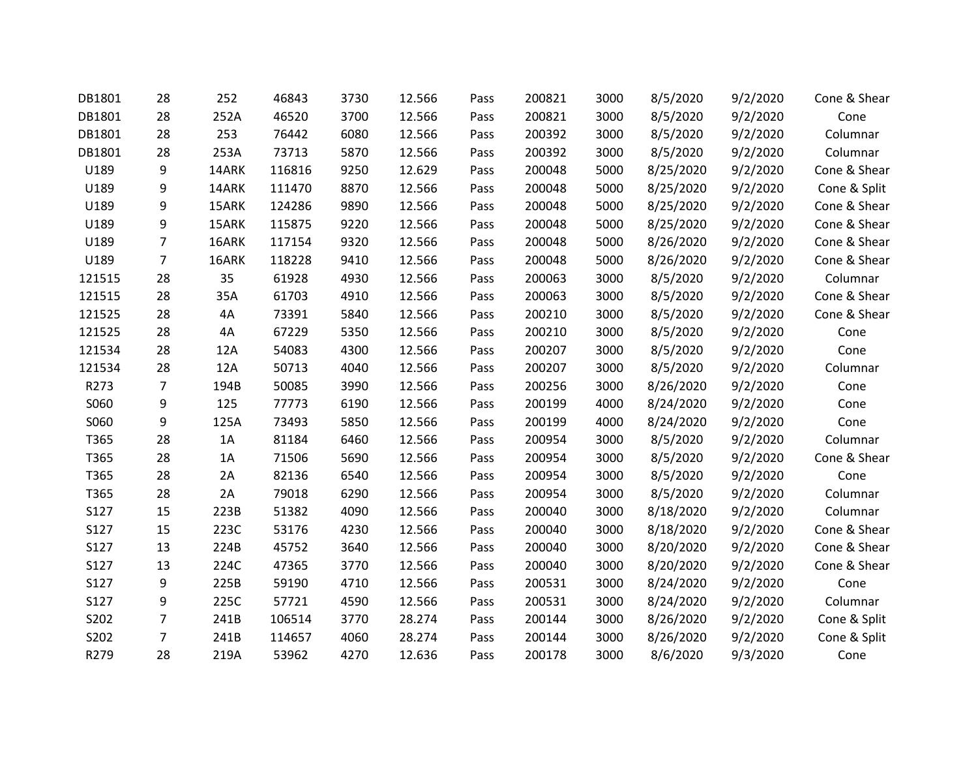| DB1801 | 28             | 252   | 46843  | 3730 | 12.566 | Pass | 200821 | 3000 | 8/5/2020  | 9/2/2020 | Cone & Shear |
|--------|----------------|-------|--------|------|--------|------|--------|------|-----------|----------|--------------|
| DB1801 | 28             | 252A  | 46520  | 3700 | 12.566 | Pass | 200821 | 3000 | 8/5/2020  | 9/2/2020 | Cone         |
| DB1801 | 28             | 253   | 76442  | 6080 | 12.566 | Pass | 200392 | 3000 | 8/5/2020  | 9/2/2020 | Columnar     |
| DB1801 | 28             | 253A  | 73713  | 5870 | 12.566 | Pass | 200392 | 3000 | 8/5/2020  | 9/2/2020 | Columnar     |
| U189   | 9              | 14ARK | 116816 | 9250 | 12.629 | Pass | 200048 | 5000 | 8/25/2020 | 9/2/2020 | Cone & Shear |
| U189   | 9              | 14ARK | 111470 | 8870 | 12.566 | Pass | 200048 | 5000 | 8/25/2020 | 9/2/2020 | Cone & Split |
| U189   | 9              | 15ARK | 124286 | 9890 | 12.566 | Pass | 200048 | 5000 | 8/25/2020 | 9/2/2020 | Cone & Shear |
| U189   | 9              | 15ARK | 115875 | 9220 | 12.566 | Pass | 200048 | 5000 | 8/25/2020 | 9/2/2020 | Cone & Shear |
| U189   | $\overline{7}$ | 16ARK | 117154 | 9320 | 12.566 | Pass | 200048 | 5000 | 8/26/2020 | 9/2/2020 | Cone & Shear |
| U189   | $\overline{7}$ | 16ARK | 118228 | 9410 | 12.566 | Pass | 200048 | 5000 | 8/26/2020 | 9/2/2020 | Cone & Shear |
| 121515 | 28             | 35    | 61928  | 4930 | 12.566 | Pass | 200063 | 3000 | 8/5/2020  | 9/2/2020 | Columnar     |
| 121515 | 28             | 35A   | 61703  | 4910 | 12.566 | Pass | 200063 | 3000 | 8/5/2020  | 9/2/2020 | Cone & Shear |
| 121525 | 28             | 4A    | 73391  | 5840 | 12.566 | Pass | 200210 | 3000 | 8/5/2020  | 9/2/2020 | Cone & Shear |
| 121525 | 28             | 4A    | 67229  | 5350 | 12.566 | Pass | 200210 | 3000 | 8/5/2020  | 9/2/2020 | Cone         |
| 121534 | 28             | 12A   | 54083  | 4300 | 12.566 | Pass | 200207 | 3000 | 8/5/2020  | 9/2/2020 | Cone         |
| 121534 | 28             | 12A   | 50713  | 4040 | 12.566 | Pass | 200207 | 3000 | 8/5/2020  | 9/2/2020 | Columnar     |
| R273   | $\overline{7}$ | 194B  | 50085  | 3990 | 12.566 | Pass | 200256 | 3000 | 8/26/2020 | 9/2/2020 | Cone         |
| S060   | 9              | 125   | 77773  | 6190 | 12.566 | Pass | 200199 | 4000 | 8/24/2020 | 9/2/2020 | Cone         |
| S060   | 9              | 125A  | 73493  | 5850 | 12.566 | Pass | 200199 | 4000 | 8/24/2020 | 9/2/2020 | Cone         |
| T365   | 28             | 1A    | 81184  | 6460 | 12.566 | Pass | 200954 | 3000 | 8/5/2020  | 9/2/2020 | Columnar     |
| T365   | 28             | 1A    | 71506  | 5690 | 12.566 | Pass | 200954 | 3000 | 8/5/2020  | 9/2/2020 | Cone & Shear |
| T365   | 28             | 2A    | 82136  | 6540 | 12.566 | Pass | 200954 | 3000 | 8/5/2020  | 9/2/2020 | Cone         |
| T365   | 28             | 2A    | 79018  | 6290 | 12.566 | Pass | 200954 | 3000 | 8/5/2020  | 9/2/2020 | Columnar     |
| S127   | 15             | 223B  | 51382  | 4090 | 12.566 | Pass | 200040 | 3000 | 8/18/2020 | 9/2/2020 | Columnar     |
| S127   | 15             | 223C  | 53176  | 4230 | 12.566 | Pass | 200040 | 3000 | 8/18/2020 | 9/2/2020 | Cone & Shear |
| S127   | 13             | 224B  | 45752  | 3640 | 12.566 | Pass | 200040 | 3000 | 8/20/2020 | 9/2/2020 | Cone & Shear |
| S127   | 13             | 224C  | 47365  | 3770 | 12.566 | Pass | 200040 | 3000 | 8/20/2020 | 9/2/2020 | Cone & Shear |
| S127   | 9              | 225B  | 59190  | 4710 | 12.566 | Pass | 200531 | 3000 | 8/24/2020 | 9/2/2020 | Cone         |
| S127   | 9              | 225C  | 57721  | 4590 | 12.566 | Pass | 200531 | 3000 | 8/24/2020 | 9/2/2020 | Columnar     |
| S202   | $\overline{7}$ | 241B  | 106514 | 3770 | 28.274 | Pass | 200144 | 3000 | 8/26/2020 | 9/2/2020 | Cone & Split |
| S202   | $\overline{7}$ | 241B  | 114657 | 4060 | 28.274 | Pass | 200144 | 3000 | 8/26/2020 | 9/2/2020 | Cone & Split |
| R279   | 28             | 219A  | 53962  | 4270 | 12.636 | Pass | 200178 | 3000 | 8/6/2020  | 9/3/2020 | Cone         |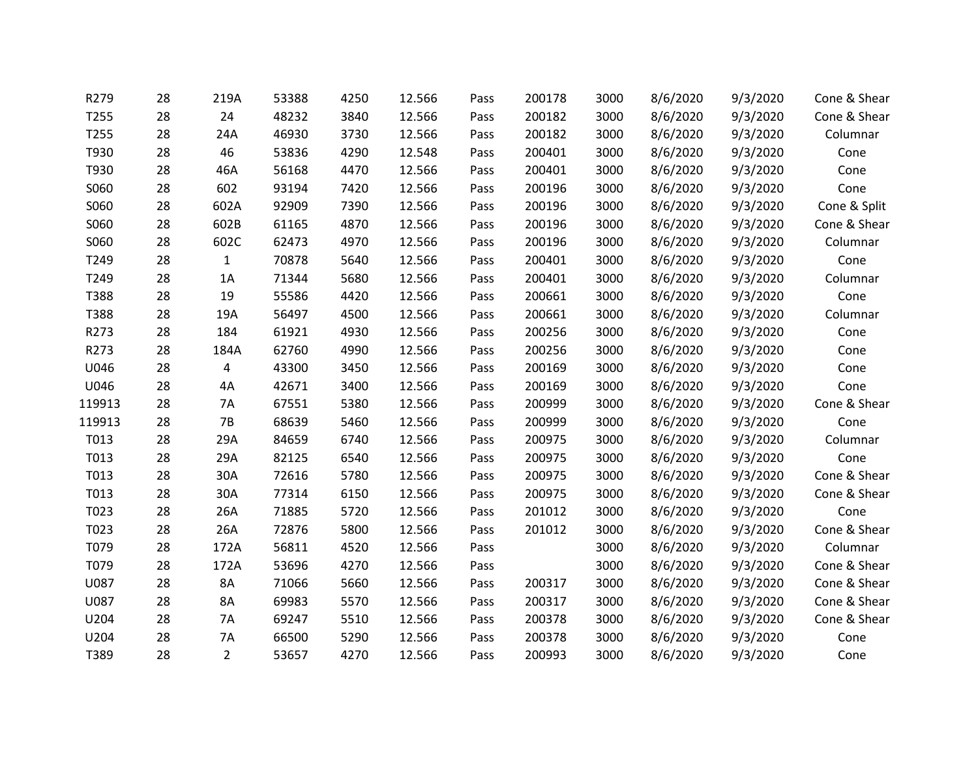| R279   | 28 | 219A           | 53388 | 4250 | 12.566 | Pass | 200178 | 3000 | 8/6/2020 | 9/3/2020 | Cone & Shear |
|--------|----|----------------|-------|------|--------|------|--------|------|----------|----------|--------------|
| T255   | 28 | 24             | 48232 | 3840 | 12.566 | Pass | 200182 | 3000 | 8/6/2020 | 9/3/2020 | Cone & Shear |
| T255   | 28 | 24A            | 46930 | 3730 | 12.566 | Pass | 200182 | 3000 | 8/6/2020 | 9/3/2020 | Columnar     |
| T930   | 28 | 46             | 53836 | 4290 | 12.548 | Pass | 200401 | 3000 | 8/6/2020 | 9/3/2020 | Cone         |
| T930   | 28 | 46A            | 56168 | 4470 | 12.566 | Pass | 200401 | 3000 | 8/6/2020 | 9/3/2020 | Cone         |
| S060   | 28 | 602            | 93194 | 7420 | 12.566 | Pass | 200196 | 3000 | 8/6/2020 | 9/3/2020 | Cone         |
| S060   | 28 | 602A           | 92909 | 7390 | 12.566 | Pass | 200196 | 3000 | 8/6/2020 | 9/3/2020 | Cone & Split |
| S060   | 28 | 602B           | 61165 | 4870 | 12.566 | Pass | 200196 | 3000 | 8/6/2020 | 9/3/2020 | Cone & Shear |
| S060   | 28 | 602C           | 62473 | 4970 | 12.566 | Pass | 200196 | 3000 | 8/6/2020 | 9/3/2020 | Columnar     |
| T249   | 28 | $\mathbf{1}$   | 70878 | 5640 | 12.566 | Pass | 200401 | 3000 | 8/6/2020 | 9/3/2020 | Cone         |
| T249   | 28 | 1A             | 71344 | 5680 | 12.566 | Pass | 200401 | 3000 | 8/6/2020 | 9/3/2020 | Columnar     |
| T388   | 28 | 19             | 55586 | 4420 | 12.566 | Pass | 200661 | 3000 | 8/6/2020 | 9/3/2020 | Cone         |
| T388   | 28 | 19A            | 56497 | 4500 | 12.566 | Pass | 200661 | 3000 | 8/6/2020 | 9/3/2020 | Columnar     |
| R273   | 28 | 184            | 61921 | 4930 | 12.566 | Pass | 200256 | 3000 | 8/6/2020 | 9/3/2020 | Cone         |
| R273   | 28 | 184A           | 62760 | 4990 | 12.566 | Pass | 200256 | 3000 | 8/6/2020 | 9/3/2020 | Cone         |
| U046   | 28 | 4              | 43300 | 3450 | 12.566 | Pass | 200169 | 3000 | 8/6/2020 | 9/3/2020 | Cone         |
| U046   | 28 | 4A             | 42671 | 3400 | 12.566 | Pass | 200169 | 3000 | 8/6/2020 | 9/3/2020 | Cone         |
| 119913 | 28 | 7A             | 67551 | 5380 | 12.566 | Pass | 200999 | 3000 | 8/6/2020 | 9/3/2020 | Cone & Shear |
| 119913 | 28 | <b>7B</b>      | 68639 | 5460 | 12.566 | Pass | 200999 | 3000 | 8/6/2020 | 9/3/2020 | Cone         |
| T013   | 28 | 29A            | 84659 | 6740 | 12.566 | Pass | 200975 | 3000 | 8/6/2020 | 9/3/2020 | Columnar     |
| T013   | 28 | 29A            | 82125 | 6540 | 12.566 | Pass | 200975 | 3000 | 8/6/2020 | 9/3/2020 | Cone         |
| T013   | 28 | 30A            | 72616 | 5780 | 12.566 | Pass | 200975 | 3000 | 8/6/2020 | 9/3/2020 | Cone & Shear |
| T013   | 28 | 30A            | 77314 | 6150 | 12.566 | Pass | 200975 | 3000 | 8/6/2020 | 9/3/2020 | Cone & Shear |
| T023   | 28 | 26A            | 71885 | 5720 | 12.566 | Pass | 201012 | 3000 | 8/6/2020 | 9/3/2020 | Cone         |
| T023   | 28 | 26A            | 72876 | 5800 | 12.566 | Pass | 201012 | 3000 | 8/6/2020 | 9/3/2020 | Cone & Shear |
| T079   | 28 | 172A           | 56811 | 4520 | 12.566 | Pass |        | 3000 | 8/6/2020 | 9/3/2020 | Columnar     |
| T079   | 28 | 172A           | 53696 | 4270 | 12.566 | Pass |        | 3000 | 8/6/2020 | 9/3/2020 | Cone & Shear |
| U087   | 28 | 8A             | 71066 | 5660 | 12.566 | Pass | 200317 | 3000 | 8/6/2020 | 9/3/2020 | Cone & Shear |
| U087   | 28 | <b>8A</b>      | 69983 | 5570 | 12.566 | Pass | 200317 | 3000 | 8/6/2020 | 9/3/2020 | Cone & Shear |
| U204   | 28 | <b>7A</b>      | 69247 | 5510 | 12.566 | Pass | 200378 | 3000 | 8/6/2020 | 9/3/2020 | Cone & Shear |
| U204   | 28 | 7A             | 66500 | 5290 | 12.566 | Pass | 200378 | 3000 | 8/6/2020 | 9/3/2020 | Cone         |
| T389   | 28 | $\overline{2}$ | 53657 | 4270 | 12.566 | Pass | 200993 | 3000 | 8/6/2020 | 9/3/2020 | Cone         |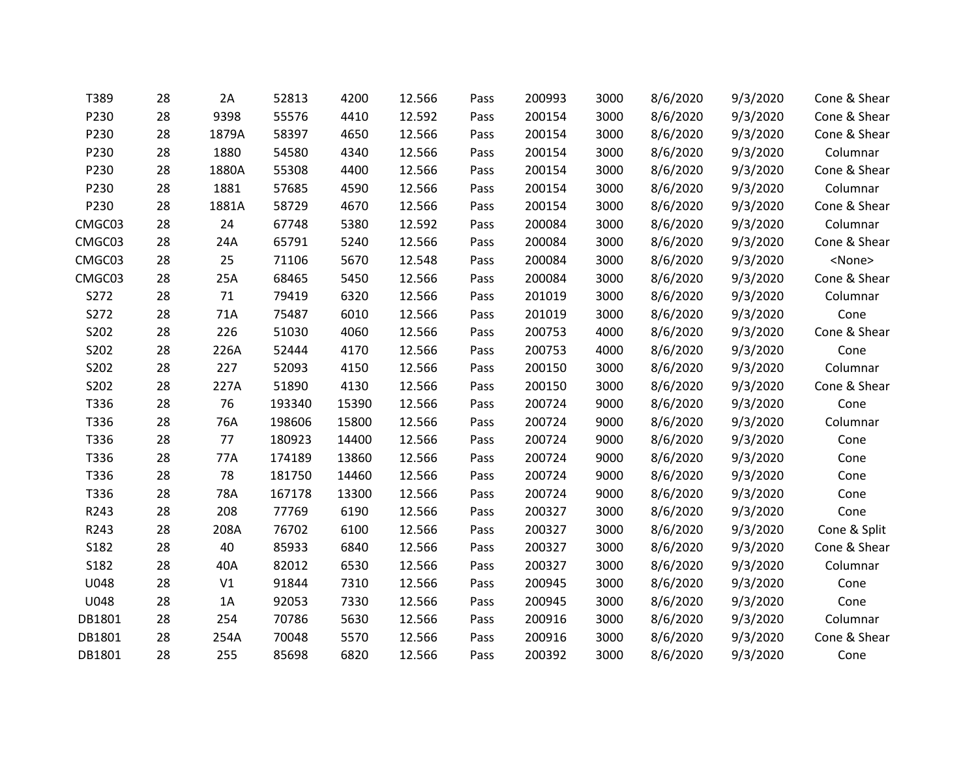| T389   | 28 | 2A    | 52813  | 4200  | 12.566 | Pass | 200993 | 3000 | 8/6/2020 | 9/3/2020 | Cone & Shear  |
|--------|----|-------|--------|-------|--------|------|--------|------|----------|----------|---------------|
| P230   | 28 | 9398  | 55576  | 4410  | 12.592 | Pass | 200154 | 3000 | 8/6/2020 | 9/3/2020 | Cone & Shear  |
| P230   | 28 | 1879A | 58397  | 4650  | 12.566 | Pass | 200154 | 3000 | 8/6/2020 | 9/3/2020 | Cone & Shear  |
| P230   | 28 | 1880  | 54580  | 4340  | 12.566 | Pass | 200154 | 3000 | 8/6/2020 | 9/3/2020 | Columnar      |
| P230   | 28 | 1880A | 55308  | 4400  | 12.566 | Pass | 200154 | 3000 | 8/6/2020 | 9/3/2020 | Cone & Shear  |
| P230   | 28 | 1881  | 57685  | 4590  | 12.566 | Pass | 200154 | 3000 | 8/6/2020 | 9/3/2020 | Columnar      |
| P230   | 28 | 1881A | 58729  | 4670  | 12.566 | Pass | 200154 | 3000 | 8/6/2020 | 9/3/2020 | Cone & Shear  |
| CMGC03 | 28 | 24    | 67748  | 5380  | 12.592 | Pass | 200084 | 3000 | 8/6/2020 | 9/3/2020 | Columnar      |
| CMGC03 | 28 | 24A   | 65791  | 5240  | 12.566 | Pass | 200084 | 3000 | 8/6/2020 | 9/3/2020 | Cone & Shear  |
| CMGC03 | 28 | 25    | 71106  | 5670  | 12.548 | Pass | 200084 | 3000 | 8/6/2020 | 9/3/2020 | <none></none> |
| CMGC03 | 28 | 25A   | 68465  | 5450  | 12.566 | Pass | 200084 | 3000 | 8/6/2020 | 9/3/2020 | Cone & Shear  |
| S272   | 28 | 71    | 79419  | 6320  | 12.566 | Pass | 201019 | 3000 | 8/6/2020 | 9/3/2020 | Columnar      |
| S272   | 28 | 71A   | 75487  | 6010  | 12.566 | Pass | 201019 | 3000 | 8/6/2020 | 9/3/2020 | Cone          |
| S202   | 28 | 226   | 51030  | 4060  | 12.566 | Pass | 200753 | 4000 | 8/6/2020 | 9/3/2020 | Cone & Shear  |
| S202   | 28 | 226A  | 52444  | 4170  | 12.566 | Pass | 200753 | 4000 | 8/6/2020 | 9/3/2020 | Cone          |
| S202   | 28 | 227   | 52093  | 4150  | 12.566 | Pass | 200150 | 3000 | 8/6/2020 | 9/3/2020 | Columnar      |
| S202   | 28 | 227A  | 51890  | 4130  | 12.566 | Pass | 200150 | 3000 | 8/6/2020 | 9/3/2020 | Cone & Shear  |
| T336   | 28 | 76    | 193340 | 15390 | 12.566 | Pass | 200724 | 9000 | 8/6/2020 | 9/3/2020 | Cone          |
| T336   | 28 | 76A   | 198606 | 15800 | 12.566 | Pass | 200724 | 9000 | 8/6/2020 | 9/3/2020 | Columnar      |
| T336   | 28 | 77    | 180923 | 14400 | 12.566 | Pass | 200724 | 9000 | 8/6/2020 | 9/3/2020 | Cone          |
| T336   | 28 | 77A   | 174189 | 13860 | 12.566 | Pass | 200724 | 9000 | 8/6/2020 | 9/3/2020 | Cone          |
| T336   | 28 | 78    | 181750 | 14460 | 12.566 | Pass | 200724 | 9000 | 8/6/2020 | 9/3/2020 | Cone          |
| T336   | 28 | 78A   | 167178 | 13300 | 12.566 | Pass | 200724 | 9000 | 8/6/2020 | 9/3/2020 | Cone          |
| R243   | 28 | 208   | 77769  | 6190  | 12.566 | Pass | 200327 | 3000 | 8/6/2020 | 9/3/2020 | Cone          |
| R243   | 28 | 208A  | 76702  | 6100  | 12.566 | Pass | 200327 | 3000 | 8/6/2020 | 9/3/2020 | Cone & Split  |
| S182   | 28 | 40    | 85933  | 6840  | 12.566 | Pass | 200327 | 3000 | 8/6/2020 | 9/3/2020 | Cone & Shear  |
| S182   | 28 | 40A   | 82012  | 6530  | 12.566 | Pass | 200327 | 3000 | 8/6/2020 | 9/3/2020 | Columnar      |
| U048   | 28 | V1    | 91844  | 7310  | 12.566 | Pass | 200945 | 3000 | 8/6/2020 | 9/3/2020 | Cone          |
| U048   | 28 | 1A    | 92053  | 7330  | 12.566 | Pass | 200945 | 3000 | 8/6/2020 | 9/3/2020 | Cone          |
| DB1801 | 28 | 254   | 70786  | 5630  | 12.566 | Pass | 200916 | 3000 | 8/6/2020 | 9/3/2020 | Columnar      |
| DB1801 | 28 | 254A  | 70048  | 5570  | 12.566 | Pass | 200916 | 3000 | 8/6/2020 | 9/3/2020 | Cone & Shear  |
| DB1801 | 28 | 255   | 85698  | 6820  | 12.566 | Pass | 200392 | 3000 | 8/6/2020 | 9/3/2020 | Cone          |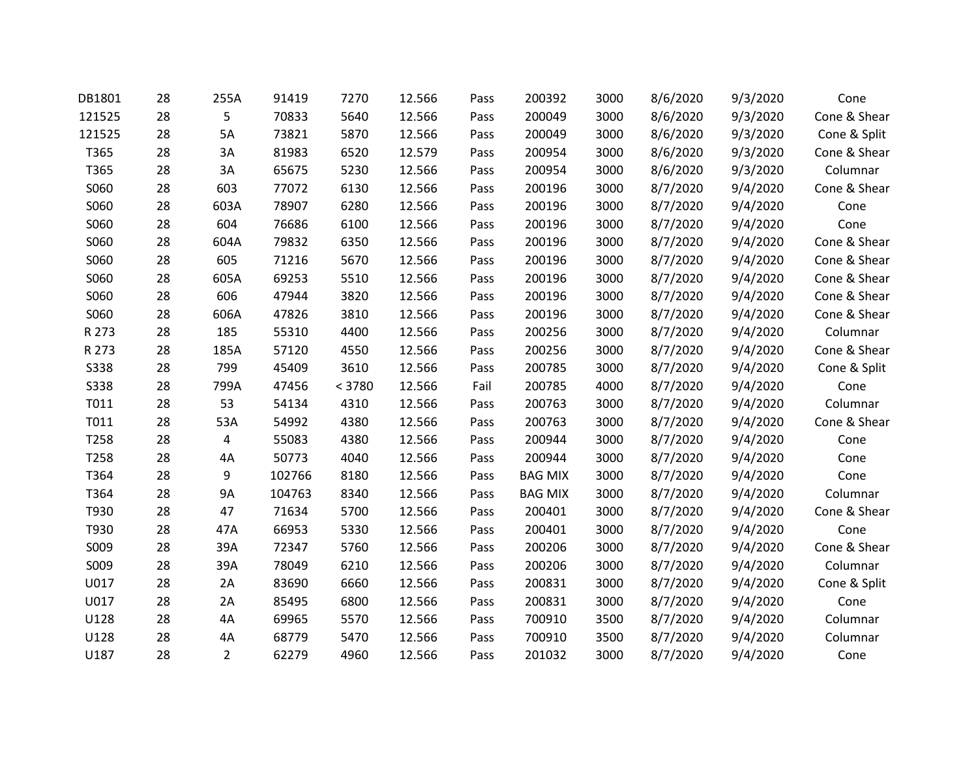| DB1801      | 28 | 255A           | 91419  | 7270   | 12.566 | Pass | 200392         | 3000 | 8/6/2020 | 9/3/2020 | Cone         |
|-------------|----|----------------|--------|--------|--------|------|----------------|------|----------|----------|--------------|
| 121525      | 28 | 5              | 70833  | 5640   | 12.566 | Pass | 200049         | 3000 | 8/6/2020 | 9/3/2020 | Cone & Shear |
| 121525      | 28 | 5A             | 73821  | 5870   | 12.566 | Pass | 200049         | 3000 | 8/6/2020 | 9/3/2020 | Cone & Split |
| T365        | 28 | 3A             | 81983  | 6520   | 12.579 | Pass | 200954         | 3000 | 8/6/2020 | 9/3/2020 | Cone & Shear |
| T365        | 28 | 3A             | 65675  | 5230   | 12.566 | Pass | 200954         | 3000 | 8/6/2020 | 9/3/2020 | Columnar     |
| S060        | 28 | 603            | 77072  | 6130   | 12.566 | Pass | 200196         | 3000 | 8/7/2020 | 9/4/2020 | Cone & Shear |
| S060        | 28 | 603A           | 78907  | 6280   | 12.566 | Pass | 200196         | 3000 | 8/7/2020 | 9/4/2020 | Cone         |
| S060        | 28 | 604            | 76686  | 6100   | 12.566 | Pass | 200196         | 3000 | 8/7/2020 | 9/4/2020 | Cone         |
| S060        | 28 | 604A           | 79832  | 6350   | 12.566 | Pass | 200196         | 3000 | 8/7/2020 | 9/4/2020 | Cone & Shear |
| S060        | 28 | 605            | 71216  | 5670   | 12.566 | Pass | 200196         | 3000 | 8/7/2020 | 9/4/2020 | Cone & Shear |
| S060        | 28 | 605A           | 69253  | 5510   | 12.566 | Pass | 200196         | 3000 | 8/7/2020 | 9/4/2020 | Cone & Shear |
| S060        | 28 | 606            | 47944  | 3820   | 12.566 | Pass | 200196         | 3000 | 8/7/2020 | 9/4/2020 | Cone & Shear |
| S060        | 28 | 606A           | 47826  | 3810   | 12.566 | Pass | 200196         | 3000 | 8/7/2020 | 9/4/2020 | Cone & Shear |
| R 273       | 28 | 185            | 55310  | 4400   | 12.566 | Pass | 200256         | 3000 | 8/7/2020 | 9/4/2020 | Columnar     |
| R 273       | 28 | 185A           | 57120  | 4550   | 12.566 | Pass | 200256         | 3000 | 8/7/2020 | 9/4/2020 | Cone & Shear |
| <b>S338</b> | 28 | 799            | 45409  | 3610   | 12.566 | Pass | 200785         | 3000 | 8/7/2020 | 9/4/2020 | Cone & Split |
| <b>S338</b> | 28 | 799A           | 47456  | < 3780 | 12.566 | Fail | 200785         | 4000 | 8/7/2020 | 9/4/2020 | Cone         |
| T011        | 28 | 53             | 54134  | 4310   | 12.566 | Pass | 200763         | 3000 | 8/7/2020 | 9/4/2020 | Columnar     |
| T011        | 28 | 53A            | 54992  | 4380   | 12.566 | Pass | 200763         | 3000 | 8/7/2020 | 9/4/2020 | Cone & Shear |
| T258        | 28 | 4              | 55083  | 4380   | 12.566 | Pass | 200944         | 3000 | 8/7/2020 | 9/4/2020 | Cone         |
| T258        | 28 | 4A             | 50773  | 4040   | 12.566 | Pass | 200944         | 3000 | 8/7/2020 | 9/4/2020 | Cone         |
| T364        | 28 | 9              | 102766 | 8180   | 12.566 | Pass | <b>BAG MIX</b> | 3000 | 8/7/2020 | 9/4/2020 | Cone         |
| T364        | 28 | 9A             | 104763 | 8340   | 12.566 | Pass | <b>BAG MIX</b> | 3000 | 8/7/2020 | 9/4/2020 | Columnar     |
| T930        | 28 | 47             | 71634  | 5700   | 12.566 | Pass | 200401         | 3000 | 8/7/2020 | 9/4/2020 | Cone & Shear |
| T930        | 28 | 47A            | 66953  | 5330   | 12.566 | Pass | 200401         | 3000 | 8/7/2020 | 9/4/2020 | Cone         |
| S009        | 28 | 39A            | 72347  | 5760   | 12.566 | Pass | 200206         | 3000 | 8/7/2020 | 9/4/2020 | Cone & Shear |
| S009        | 28 | 39A            | 78049  | 6210   | 12.566 | Pass | 200206         | 3000 | 8/7/2020 | 9/4/2020 | Columnar     |
| U017        | 28 | 2A             | 83690  | 6660   | 12.566 | Pass | 200831         | 3000 | 8/7/2020 | 9/4/2020 | Cone & Split |
| U017        | 28 | 2A             | 85495  | 6800   | 12.566 | Pass | 200831         | 3000 | 8/7/2020 | 9/4/2020 | Cone         |
| U128        | 28 | 4A             | 69965  | 5570   | 12.566 | Pass | 700910         | 3500 | 8/7/2020 | 9/4/2020 | Columnar     |
| U128        | 28 | 4A             | 68779  | 5470   | 12.566 | Pass | 700910         | 3500 | 8/7/2020 | 9/4/2020 | Columnar     |
| U187        | 28 | $\overline{2}$ | 62279  | 4960   | 12.566 | Pass | 201032         | 3000 | 8/7/2020 | 9/4/2020 | Cone         |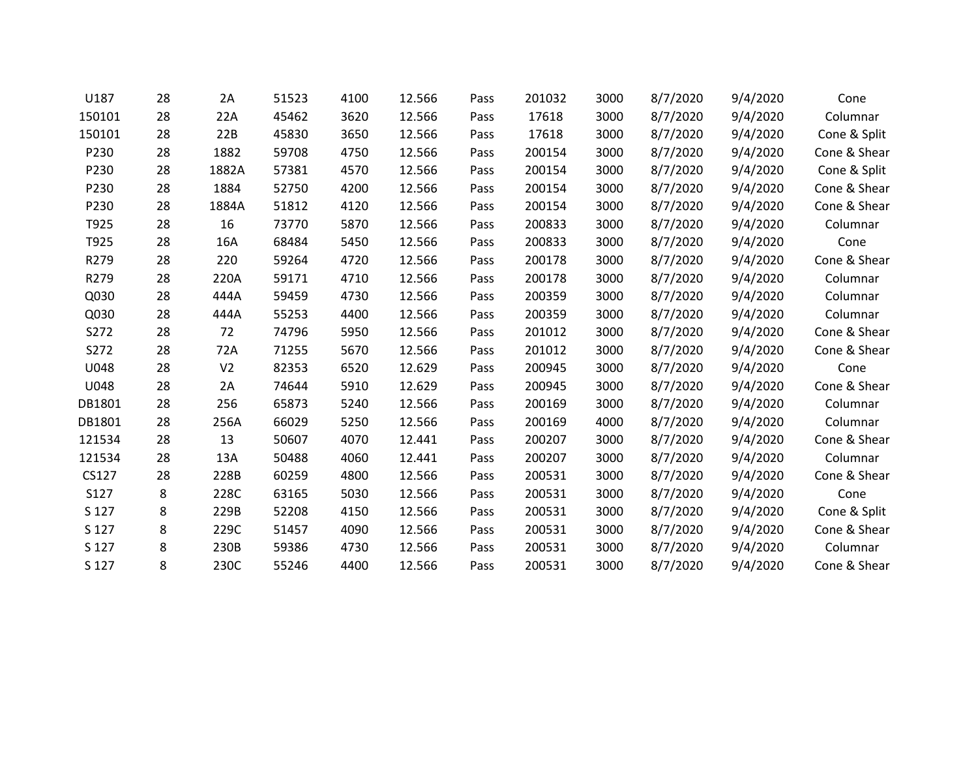| U187   | 28 | 2A             | 51523 | 4100 | 12.566 | Pass | 201032 | 3000 | 8/7/2020 | 9/4/2020 | Cone         |
|--------|----|----------------|-------|------|--------|------|--------|------|----------|----------|--------------|
| 150101 | 28 | 22A            | 45462 | 3620 | 12.566 | Pass | 17618  | 3000 | 8/7/2020 | 9/4/2020 | Columnar     |
| 150101 | 28 | 22B            | 45830 | 3650 | 12.566 | Pass | 17618  | 3000 | 8/7/2020 | 9/4/2020 | Cone & Split |
| P230   | 28 | 1882           | 59708 | 4750 | 12.566 | Pass | 200154 | 3000 | 8/7/2020 | 9/4/2020 | Cone & Shear |
| P230   | 28 | 1882A          | 57381 | 4570 | 12.566 | Pass | 200154 | 3000 | 8/7/2020 | 9/4/2020 | Cone & Split |
| P230   | 28 | 1884           | 52750 | 4200 | 12.566 | Pass | 200154 | 3000 | 8/7/2020 | 9/4/2020 | Cone & Shear |
| P230   | 28 | 1884A          | 51812 | 4120 | 12.566 | Pass | 200154 | 3000 | 8/7/2020 | 9/4/2020 | Cone & Shear |
| T925   | 28 | 16             | 73770 | 5870 | 12.566 | Pass | 200833 | 3000 | 8/7/2020 | 9/4/2020 | Columnar     |
| T925   | 28 | 16A            | 68484 | 5450 | 12.566 | Pass | 200833 | 3000 | 8/7/2020 | 9/4/2020 | Cone         |
| R279   | 28 | 220            | 59264 | 4720 | 12.566 | Pass | 200178 | 3000 | 8/7/2020 | 9/4/2020 | Cone & Shear |
| R279   | 28 | 220A           | 59171 | 4710 | 12.566 | Pass | 200178 | 3000 | 8/7/2020 | 9/4/2020 | Columnar     |
| Q030   | 28 | 444A           | 59459 | 4730 | 12.566 | Pass | 200359 | 3000 | 8/7/2020 | 9/4/2020 | Columnar     |
| Q030   | 28 | 444A           | 55253 | 4400 | 12.566 | Pass | 200359 | 3000 | 8/7/2020 | 9/4/2020 | Columnar     |
| S272   | 28 | 72             | 74796 | 5950 | 12.566 | Pass | 201012 | 3000 | 8/7/2020 | 9/4/2020 | Cone & Shear |
| S272   | 28 | 72A            | 71255 | 5670 | 12.566 | Pass | 201012 | 3000 | 8/7/2020 | 9/4/2020 | Cone & Shear |
| U048   | 28 | V <sub>2</sub> | 82353 | 6520 | 12.629 | Pass | 200945 | 3000 | 8/7/2020 | 9/4/2020 | Cone         |
| U048   | 28 | 2A             | 74644 | 5910 | 12.629 | Pass | 200945 | 3000 | 8/7/2020 | 9/4/2020 | Cone & Shear |
| DB1801 | 28 | 256            | 65873 | 5240 | 12.566 | Pass | 200169 | 3000 | 8/7/2020 | 9/4/2020 | Columnar     |
| DB1801 | 28 | 256A           | 66029 | 5250 | 12.566 | Pass | 200169 | 4000 | 8/7/2020 | 9/4/2020 | Columnar     |
| 121534 | 28 | 13             | 50607 | 4070 | 12.441 | Pass | 200207 | 3000 | 8/7/2020 | 9/4/2020 | Cone & Shear |
| 121534 | 28 | 13A            | 50488 | 4060 | 12.441 | Pass | 200207 | 3000 | 8/7/2020 | 9/4/2020 | Columnar     |
| CS127  | 28 | 228B           | 60259 | 4800 | 12.566 | Pass | 200531 | 3000 | 8/7/2020 | 9/4/2020 | Cone & Shear |
| S127   | 8  | 228C           | 63165 | 5030 | 12.566 | Pass | 200531 | 3000 | 8/7/2020 | 9/4/2020 | Cone         |
| S 127  | 8  | 229B           | 52208 | 4150 | 12.566 | Pass | 200531 | 3000 | 8/7/2020 | 9/4/2020 | Cone & Split |
| S 127  | 8  | 229C           | 51457 | 4090 | 12.566 | Pass | 200531 | 3000 | 8/7/2020 | 9/4/2020 | Cone & Shear |
| S 127  | 8  | 230B           | 59386 | 4730 | 12.566 | Pass | 200531 | 3000 | 8/7/2020 | 9/4/2020 | Columnar     |
| S 127  | 8  | 230C           | 55246 | 4400 | 12.566 | Pass | 200531 | 3000 | 8/7/2020 | 9/4/2020 | Cone & Shear |